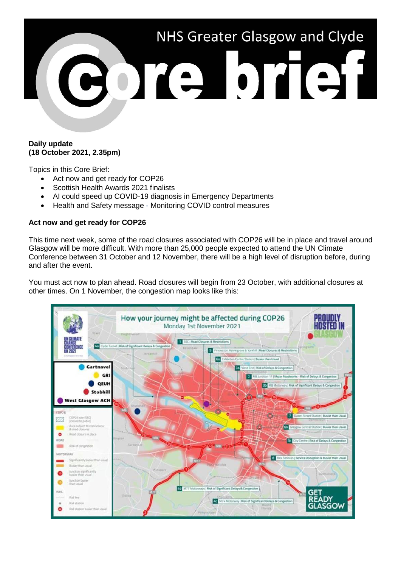

# **Daily update (18 October 2021, 2.35pm)**

Topics in this Core Brief:

- Act now and get ready for COP26
- Scottish Health Awards 2021 finalists
- AI could speed up COVID-19 diagnosis in Emergency Departments
- Health and Safety message Monitoring COVID control measures

# **Act now and get ready for COP26**

This time next week, some of the road closures associated with COP26 will be in place and travel around Glasgow will be more difficult. With more than 25,000 people expected to attend the UN Climate Conference between 31 October and 12 November, there will be a high level of disruption before, during and after the event.

You must act now to plan ahead. Road closures will begin from 23 October, with additional closures at other times. On 1 November, the congestion map looks like this:

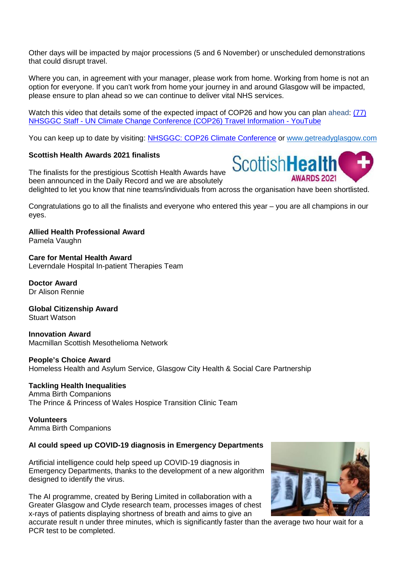Other days will be impacted by major processions (5 and 6 November) or unscheduled demonstrations that could disrupt travel.

Where you can, in agreement with your manager, please work from home. Working from home is not an option for everyone. If you can't work from home your journey in and around Glasgow will be impacted, please ensure to plan ahead so we can continue to deliver vital NHS services.

Watch this video that details some of the expected impact of COP26 and how you can plan ahead: (77) NHSGGC Staff - [UN Climate Change Conference \(COP26\) Travel Information -](https://www.youtube.com/watch?v=XshPABt9qlE&t=4s) YouTube

You can keep up to date by visiting: [NHSGGC: COP26 Climate Conference](https://www.nhsggc.org.uk/about-us/cop26-conference/staff-information/) or [www.getreadyglasgow.com](http://www.getreadyglasgow.com/)

# **Scottish Health Awards 2021 finalists**

The finalists for the prestigious Scottish Health Awards have been announced in the Daily Record and we are absolutely



delighted to let you know that nine teams/individuals from across the organisation have been shortlisted.

Congratulations go to all the finalists and everyone who entered this year – you are all champions in our eyes.

**Allied Health Professional Award** Pamela Vaughn

**Care for Mental Health Award** Leverndale Hospital In-patient Therapies Team

**Doctor Award** Dr Alison Rennie

**Global Citizenship Award**

Stuart Watson

**Innovation Award**  Macmillan Scottish Mesothelioma Network

**People's Choice Award** Homeless Health and Asylum Service, Glasgow City Health & Social Care Partnership

**Tackling Health Inequalities** Amma Birth Companions The Prince & Princess of Wales Hospice Transition Clinic Team

**Volunteers** Amma Birth Companions

# **AI could speed up COVID-19 diagnosis in Emergency Departments**

Artificial intelligence could help speed up COVID-19 diagnosis in Emergency Departments, thanks to the development of a new algorithm designed to identify the virus.

The AI programme, created by Bering Limited in collaboration with a Greater Glasgow and Clyde research team, processes images of chest x-rays of patients displaying shortness of breath and aims to give an



accurate result n under three minutes, which is significantly faster than the average two hour wait for a PCR test to be completed.